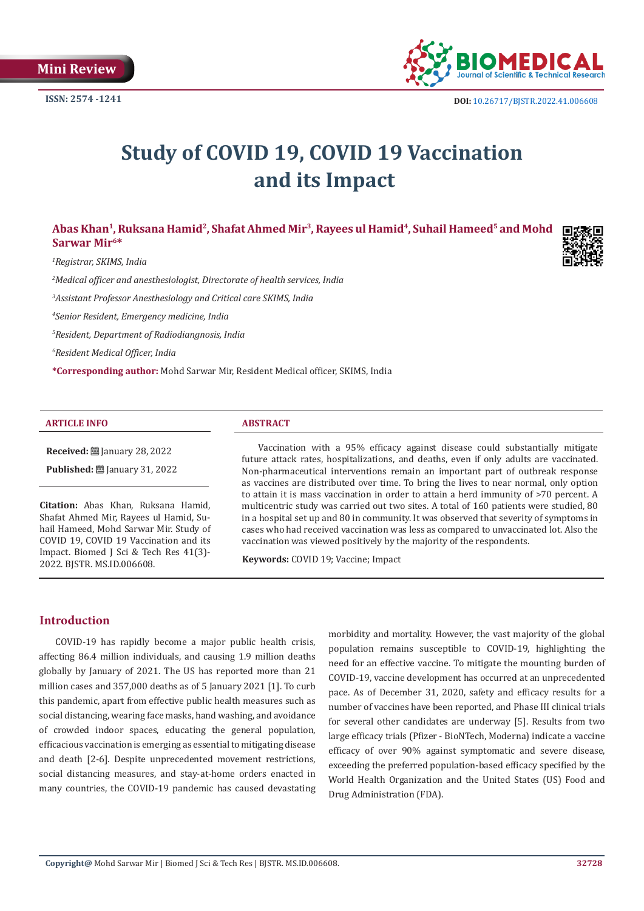

# **Study of COVID 19, COVID 19 Vaccination and its Impact**

# Abas Khan<sup>1</sup>, Ruksana Hamid<sup>2</sup>, Shafat Ahmed Mir<sup>3</sup>, Rayees ul Hamid<sup>4</sup>, Suhail Hameed<sup>5</sup> and Mohd **Sarwar Mir6\***

*1 Registrar, SKIMS, India*

*2 Medical officer and anesthesiologist, Directorate of health services, India*

*3 Assistant Professor Anesthesiology and Critical care SKIMS, India*

*4 Senior Resident, Emergency medicine, India*

*5 Resident, Department of Radiodiangnosis, India*

*6 Resident Medical Officer, India*

**\*Corresponding author:** Mohd Sarwar Mir, Resident Medical officer, SKIMS, India

#### **ARTICLE INFO ABSTRACT**

**Received:** January 28, 2022

**Published:** ■ January 31, 2022

**Citation:** Abas Khan, Ruksana Hamid, Shafat Ahmed Mir, Rayees ul Hamid, Suhail Hameed, Mohd Sarwar Mir. Study of COVID 19, COVID 19 Vaccination and its Impact. Biomed J Sci & Tech Res 41(3)-2022. BJSTR. MS.ID.006608.

Vaccination with a 95% efficacy against disease could substantially mitigate future attack rates, hospitalizations, and deaths, even if only adults are vaccinated. Non-pharmaceutical interventions remain an important part of outbreak response as vaccines are distributed over time. To bring the lives to near normal, only option to attain it is mass vaccination in order to attain a herd immunity of >70 percent. A multicentric study was carried out two sites. A total of 160 patients were studied, 80 in a hospital set up and 80 in community. It was observed that severity of symptoms in cases who had received vaccination was less as compared to unvaccinated lot. Also the vaccination was viewed positively by the majority of the respondents.

**Keywords:** COVID 19; Vaccine; Impact

# **Introduction**

COVID-19 has rapidly become a major public health crisis, affecting 86.4 million individuals, and causing 1.9 million deaths globally by January of 2021. The US has reported more than 21 million cases and 357,000 deaths as of 5 January 2021 [1]. To curb this pandemic, apart from effective public health measures such as social distancing, wearing face masks, hand washing, and avoidance of crowded indoor spaces, educating the general population, efficacious vaccination is emerging as essential to mitigating disease and death [2-6]. Despite unprecedented movement restrictions, social distancing measures, and stay-at-home orders enacted in many countries, the COVID-19 pandemic has caused devastating morbidity and mortality. However, the vast majority of the global population remains susceptible to COVID-19, highlighting the need for an effective vaccine. To mitigate the mounting burden of COVID-19, vaccine development has occurred at an unprecedented pace. As of December 31, 2020, safety and efficacy results for a number of vaccines have been reported, and Phase III clinical trials for several other candidates are underway [5]. Results from two large efficacy trials (Pfizer - BioNTech, Moderna) indicate a vaccine efficacy of over 90% against symptomatic and severe disease, exceeding the preferred population-based efficacy specified by the World Health Organization and the United States (US) Food and Drug Administration (FDA).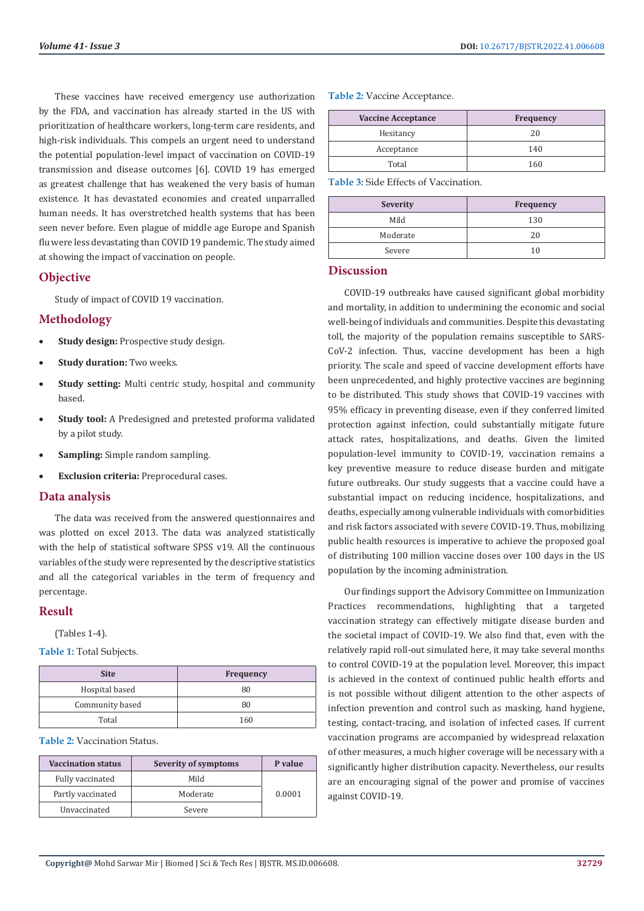These vaccines have received emergency use authorization by the FDA, and vaccination has already started in the US with prioritization of healthcare workers, long-term care residents, and high-risk individuals. This compels an urgent need to understand the potential population-level impact of vaccination on COVID-19 transmission and disease outcomes [6]. COVID 19 has emerged as greatest challenge that has weakened the very basis of human existence. It has devastated economies and created unparralled human needs. It has overstretched health systems that has been seen never before. Even plague of middle age Europe and Spanish flu were less devastating than COVID 19 pandemic. The study aimed at showing the impact of vaccination on people.

# **Objective**

Study of impact of COVID 19 vaccination.

# **Methodology**

- **Study design:** Prospective study design.
- **Study duration:** Two weeks.
- **Study setting:** Multi centric study, hospital and community based.
- **Study tool:** A Predesigned and pretested proforma validated by a pilot study.
- **Sampling:** Simple random sampling.
- **Exclusion criteria:** Preprocedural cases.

# **Data analysis**

The data was received from the answered questionnaires and was plotted on excel 2013. The data was analyzed statistically with the help of statistical software SPSS v19. All the continuous variables of the study were represented by the descriptive statistics and all the categorical variables in the term of frequency and percentage.

# **Result**

(Tables 1-4).

**Table 1:** Total Subjects.

| <b>Site</b>     | <b>Frequency</b> |
|-----------------|------------------|
| Hospital based  | 80               |
| Community based | 80               |
| Total           | 160              |

### **Table 2:** Vaccination Status.

| <b>Vaccination status</b> | Severity of symptoms | P value |
|---------------------------|----------------------|---------|
| Fully vaccinated          | Mild                 |         |
| Partly vaccinated         | Moderate             | 0.0001  |
| Unvaccinated              | Severe               |         |

**Table 2:** Vaccine Acceptance.

| <b>Vaccine Acceptance</b> | <b>Frequency</b> |
|---------------------------|------------------|
| Hesitancy                 | 20               |
| Acceptance                | 140              |
| Total                     | 160              |

**Table 3:** Side Effects of Vaccination.

| <b>Severity</b> | <b>Frequency</b> |
|-----------------|------------------|
| Mild            | 130              |
| Moderate        | 20               |
| Severe          |                  |

# **Discussion**

COVID-19 outbreaks have caused significant global morbidity and mortality, in addition to undermining the economic and social well-being of individuals and communities. Despite this devastating toll, the majority of the population remains susceptible to SARS-CoV-2 infection. Thus, vaccine development has been a high priority. The scale and speed of vaccine development efforts have been unprecedented, and highly protective vaccines are beginning to be distributed. This study shows that COVID-19 vaccines with 95% efficacy in preventing disease, even if they conferred limited protection against infection, could substantially mitigate future attack rates, hospitalizations, and deaths. Given the limited population-level immunity to COVID-19, vaccination remains a key preventive measure to reduce disease burden and mitigate future outbreaks. Our study suggests that a vaccine could have a substantial impact on reducing incidence, hospitalizations, and deaths, especially among vulnerable individuals with comorbidities and risk factors associated with severe COVID-19. Thus, mobilizing public health resources is imperative to achieve the proposed goal of distributing 100 million vaccine doses over 100 days in the US population by the incoming administration.

Our findings support the Advisory Committee on Immunization Practices recommendations, highlighting that a targeted vaccination strategy can effectively mitigate disease burden and the societal impact of COVID-19. We also find that, even with the relatively rapid roll-out simulated here, it may take several months to control COVID-19 at the population level. Moreover, this impact is achieved in the context of continued public health efforts and is not possible without diligent attention to the other aspects of infection prevention and control such as masking, hand hygiene, testing, contact-tracing, and isolation of infected cases. If current vaccination programs are accompanied by widespread relaxation of other measures, a much higher coverage will be necessary with a significantly higher distribution capacity. Nevertheless, our results are an encouraging signal of the power and promise of vaccines against COVID-19.